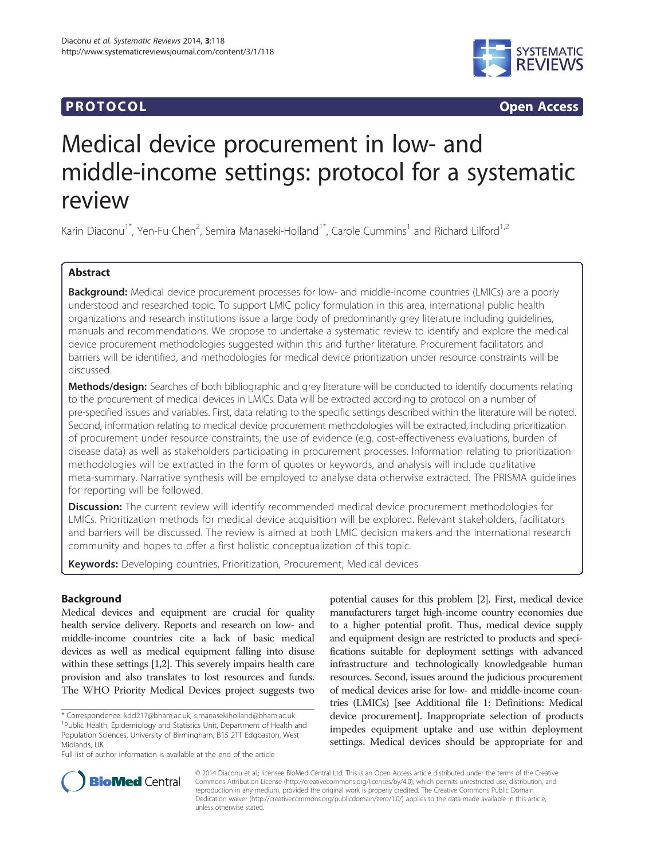# **PROTOCOL CONSUMING ACCESS CONSUMING ACCESS**



# Medical device procurement in low- and middle-income settings: protocol for a systematic review

Karin Diaconu<sup>1\*</sup>, Yen-Fu Chen<sup>2</sup>, Semira Manaseki-Holland<sup>1\*</sup>, Carole Cummins<sup>1</sup> and Richard Lilford<sup>1,2</sup>

# Abstract

Background: Medical device procurement processes for low- and middle-income countries (LMICs) are a poorly understood and researched topic. To support LMIC policy formulation in this area, international public health organizations and research institutions issue a large body of predominantly grey literature including guidelines, manuals and recommendations. We propose to undertake a systematic review to identify and explore the medical device procurement methodologies suggested within this and further literature. Procurement facilitators and barriers will be identified, and methodologies for medical device prioritization under resource constraints will be discussed.

Methods/design: Searches of both bibliographic and grey literature will be conducted to identify documents relating to the procurement of medical devices in LMICs. Data will be extracted according to protocol on a number of pre-specified issues and variables. First, data relating to the specific settings described within the literature will be noted. Second, information relating to medical device procurement methodologies will be extracted, including prioritization of procurement under resource constraints, the use of evidence (e.g. cost-effectiveness evaluations, burden of disease data) as well as stakeholders participating in procurement processes. Information relating to prioritization methodologies will be extracted in the form of quotes or keywords, and analysis will include qualitative meta-summary. Narrative synthesis will be employed to analyse data otherwise extracted. The PRISMA guidelines for reporting will be followed.

**Discussion:** The current review will identify recommended medical device procurement methodologies for LMICs. Prioritization methods for medical device acquisition will be explored. Relevant stakeholders, facilitators and barriers will be discussed. The review is aimed at both LMIC decision makers and the international research community and hopes to offer a first holistic conceptualization of this topic.

**Keywords:** Developing countries, Prioritization, Procurement, Medical devices

# Background

Medical devices and equipment are crucial for quality health service delivery. Reports and research on low- and middle-income countries cite a lack of basic medical devices as well as medical equipment falling into disuse within these settings [[1,2](#page-9-0)]. This severely impairs health care provision and also translates to lost resources and funds. The WHO Priority Medical Devices project suggests two

Full list of author information is available at the end of the article

potential causes for this problem [\[2](#page-9-0)]. First, medical device manufacturers target high-income country economies due to a higher potential profit. Thus, medical device supply and equipment design are restricted to products and specifications suitable for deployment settings with advanced infrastructure and technologically knowledgeable human resources. Second, issues around the judicious procurement of medical devices arise for low- and middle-income countries (LMICs) [see Additional file [1:](#page-9-0) Definitions: Medical device procurement]. Inappropriate selection of products impedes equipment uptake and use within deployment settings. Medical devices should be appropriate for and



© 2014 Diaconu et al.; licensee BioMed Central Ltd. This is an Open Access article distributed under the terms of the Creative Commons Attribution License [\(http://creativecommons.org/licenses/by/4.0\)](http://creativecommons.org/licenses/by/4.0), which permits unrestricted use, distribution, and reproduction in any medium, provided the original work is properly credited. The Creative Commons Public Domain Dedication waiver [\(http://creativecommons.org/publicdomain/zero/1.0/](http://creativecommons.org/publicdomain/zero/1.0/)) applies to the data made available in this article, unless otherwise stated.

<sup>\*</sup> Correspondence: [kdd217@bham.ac.uk;](mailto:kdd217@bham.ac.uk) [s.manasekiholland@bham.ac.uk](mailto:s.manasekiholland@bham.ac.uk) <sup>1</sup> <sup>1</sup>Public Health, Epidemiology and Statistics Unit, Department of Health and Population Sciences, University of Birmingham, B15 2TT Edgbaston, West Midlands, UK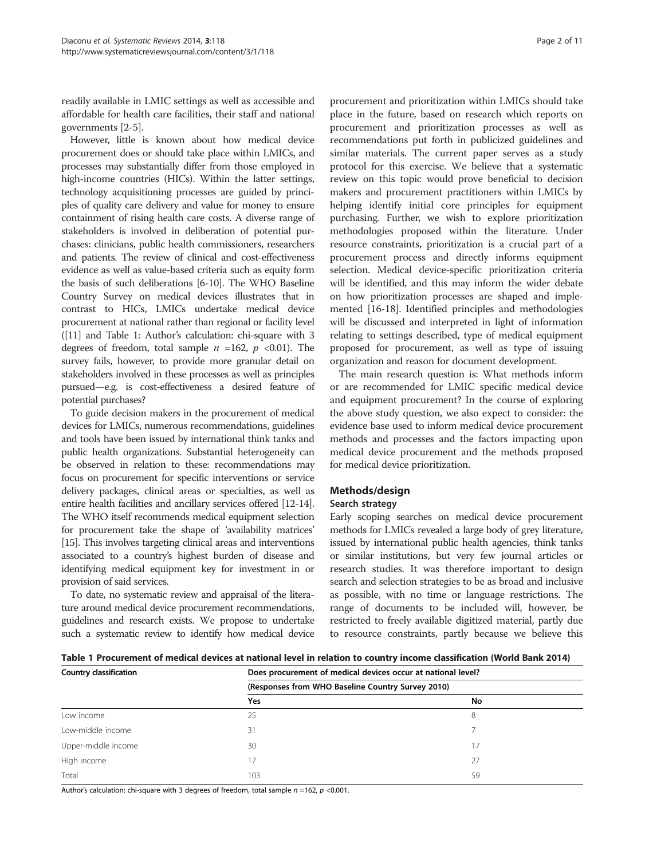readily available in LMIC settings as well as accessible and affordable for health care facilities, their staff and national governments [\[2](#page-9-0)-[5](#page-9-0)].

However, little is known about how medical device procurement does or should take place within LMICs, and processes may substantially differ from those employed in high-income countries (HICs). Within the latter settings, technology acquisitioning processes are guided by principles of quality care delivery and value for money to ensure containment of rising health care costs. A diverse range of stakeholders is involved in deliberation of potential purchases: clinicians, public health commissioners, researchers and patients. The review of clinical and cost-effectiveness evidence as well as value-based criteria such as equity form the basis of such deliberations [[6](#page-9-0)-[10](#page-10-0)]. The WHO Baseline Country Survey on medical devices illustrates that in contrast to HICs, LMICs undertake medical device procurement at national rather than regional or facility level ([[11](#page-10-0)] and Table 1: Author's calculation: chi-square with 3 degrees of freedom, total sample  $n =162$ ,  $p < 0.01$ ). The survey fails, however, to provide more granular detail on stakeholders involved in these processes as well as principles pursued—e.g. is cost-effectiveness a desired feature of potential purchases?

To guide decision makers in the procurement of medical devices for LMICs, numerous recommendations, guidelines and tools have been issued by international think tanks and public health organizations. Substantial heterogeneity can be observed in relation to these: recommendations may focus on procurement for specific interventions or service delivery packages, clinical areas or specialties, as well as entire health facilities and ancillary services offered [\[12-14](#page-10-0)]. The WHO itself recommends medical equipment selection for procurement take the shape of 'availability matrices' [[15](#page-10-0)]. This involves targeting clinical areas and interventions associated to a country's highest burden of disease and identifying medical equipment key for investment in or provision of said services.

To date, no systematic review and appraisal of the literature around medical device procurement recommendations, guidelines and research exists. We propose to undertake such a systematic review to identify how medical device procurement and prioritization within LMICs should take place in the future, based on research which reports on procurement and prioritization processes as well as recommendations put forth in publicized guidelines and similar materials. The current paper serves as a study protocol for this exercise. We believe that a systematic review on this topic would prove beneficial to decision makers and procurement practitioners within LMICs by helping identify initial core principles for equipment purchasing. Further, we wish to explore prioritization methodologies proposed within the literature. Under resource constraints, prioritization is a crucial part of a procurement process and directly informs equipment selection. Medical device-specific prioritization criteria will be identified, and this may inform the wider debate on how prioritization processes are shaped and implemented [\[16](#page-10-0)-[18](#page-10-0)]. Identified principles and methodologies will be discussed and interpreted in light of information relating to settings described, type of medical equipment proposed for procurement, as well as type of issuing organization and reason for document development.

The main research question is: What methods inform or are recommended for LMIC specific medical device and equipment procurement? In the course of exploring the above study question, we also expect to consider: the evidence base used to inform medical device procurement methods and processes and the factors impacting upon medical device procurement and the methods proposed for medical device prioritization.

# Methods/design

# Search strategy

Early scoping searches on medical device procurement methods for LMICs revealed a large body of grey literature, issued by international public health agencies, think tanks or similar institutions, but very few journal articles or research studies. It was therefore important to design search and selection strategies to be as broad and inclusive as possible, with no time or language restrictions. The range of documents to be included will, however, be restricted to freely available digitized material, partly due to resource constraints, partly because we believe this

Table 1 Procurement of medical devices at national level in relation to country income classification (World Bank 2014)

| <b>Country classification</b> | Does procurement of medical devices occur at national level?<br>(Responses from WHO Baseline Country Survey 2010) |     |  |
|-------------------------------|-------------------------------------------------------------------------------------------------------------------|-----|--|
|                               |                                                                                                                   |     |  |
|                               | Yes                                                                                                               | No. |  |
| Low income                    | 25                                                                                                                | 8   |  |
| Low-middle income             | 31                                                                                                                |     |  |
| Upper-middle income           | 30                                                                                                                |     |  |
| High income                   |                                                                                                                   |     |  |
| Total                         | 103                                                                                                               | 59  |  |

Author's calculation: chi-square with 3 degrees of freedom, total sample  $n = 162$ ,  $p < 0.001$ .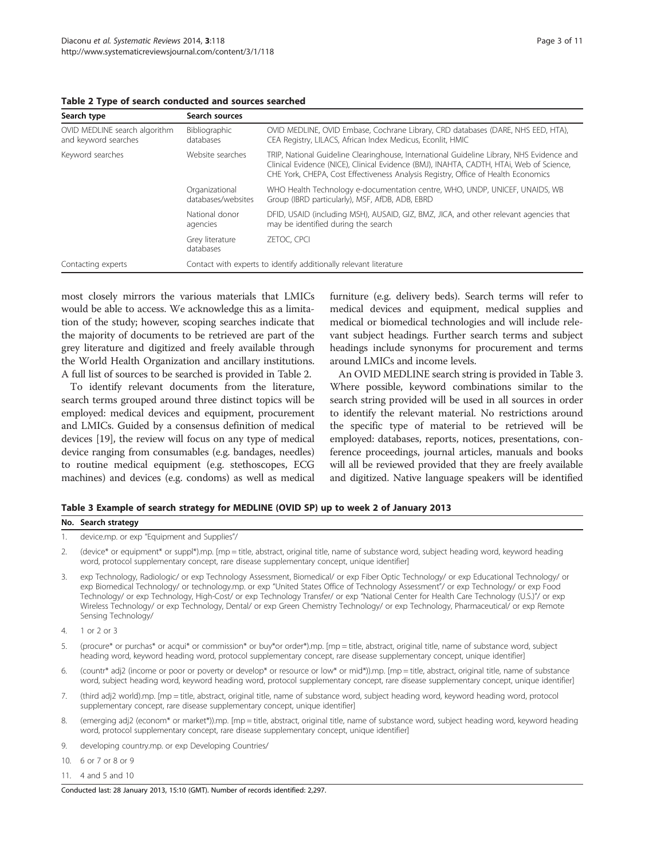| Search type                                           | Search sources                                                    |                                                                                                                                                                                                                                                                           |  |
|-------------------------------------------------------|-------------------------------------------------------------------|---------------------------------------------------------------------------------------------------------------------------------------------------------------------------------------------------------------------------------------------------------------------------|--|
| OVID MEDLINE search algorithm<br>and keyword searches | Bibliographic<br>databases                                        | OVID MEDLINE, OVID Embase, Cochrane Library, CRD databases (DARE, NHS EED, HTA),<br>CEA Registry, LILACS, African Index Medicus, Econlit, HMIC                                                                                                                            |  |
| Keyword searches                                      | Website searches                                                  | TRIP, National Guideline Clearinghouse, International Guideline Library, NHS Evidence and<br>Clinical Evidence (NICE), Clinical Evidence (BMJ), INAHTA, CADTH, HTAi, Web of Science,<br>CHE York, CHEPA, Cost Effectiveness Analysis Registry, Office of Health Economics |  |
|                                                       | Organizational<br>databases/websites                              | WHO Health Technology e-documentation centre, WHO, UNDP, UNICEF, UNAIDS, WB<br>Group (IBRD particularly), MSF, AfDB, ADB, EBRD                                                                                                                                            |  |
|                                                       | National donor<br>agencies                                        | DFID, USAID (including MSH), AUSAID, GIZ, BMZ, JICA, and other relevant agencies that<br>may be identified during the search                                                                                                                                              |  |
|                                                       | Grey literature<br>databases                                      | ZETOC, CPCI                                                                                                                                                                                                                                                               |  |
| Contacting experts                                    | Contact with experts to identify additionally relevant literature |                                                                                                                                                                                                                                                                           |  |

most closely mirrors the various materials that LMICs would be able to access. We acknowledge this as a limitation of the study; however, scoping searches indicate that the majority of documents to be retrieved are part of the grey literature and digitized and freely available through the World Health Organization and ancillary institutions. A full list of sources to be searched is provided in Table 2.

To identify relevant documents from the literature, search terms grouped around three distinct topics will be employed: medical devices and equipment, procurement and LMICs. Guided by a consensus definition of medical devices [[19](#page-10-0)], the review will focus on any type of medical device ranging from consumables (e.g. bandages, needles) to routine medical equipment (e.g. stethoscopes, ECG machines) and devices (e.g. condoms) as well as medical furniture (e.g. delivery beds). Search terms will refer to medical devices and equipment, medical supplies and medical or biomedical technologies and will include relevant subject headings. Further search terms and subject headings include synonyms for procurement and terms around LMICs and income levels.

An OVID MEDLINE search string is provided in Table 3. Where possible, keyword combinations similar to the search string provided will be used in all sources in order to identify the relevant material. No restrictions around the specific type of material to be retrieved will be employed: databases, reports, notices, presentations, conference proceedings, journal articles, manuals and books will all be reviewed provided that they are freely available and digitized. Native language speakers will be identified

Table 3 Example of search strategy for MEDLINE (OVID SP) up to week 2 of January 2013

| No. Search strategy |  |
|---------------------|--|
|                     |  |

1. device.mp. or exp "Equipment and Supplies"/

2. (device\* or equipment\* or suppl\*).mp. [mp = title, abstract, original title, name of substance word, subject heading word, keyword heading word, protocol supplementary concept, rare disease supplementary concept, unique identifier]

3. exp Technology, Radiologic/ or exp Technology Assessment, Biomedical/ or exp Fiber Optic Technology/ or exp Educational Technology/ or exp Biomedical Technology/ or technology.mp. or exp "United States Office of Technology Assessment"/ or exp Technology/ or exp Food Technology/ or exp Technology, High-Cost/ or exp Technology Transfer/ or exp "National Center for Health Care Technology (U.S.)"/ or exp Wireless Technology/ or exp Technology, Dental/ or exp Green Chemistry Technology/ or exp Technology, Pharmaceutical/ or exp Remote Sensing Technology/

- 5. (procure\* or purchas\* or acqui\* or commission\* or buy\*or order\*).mp. [mp = title, abstract, original title, name of substance word, subject heading word, keyword heading word, protocol supplementary concept, rare disease supplementary concept, unique identifier]
- 6. (countr\* adj2 (income or poor or poverty or develop\* or resource or low\* or mid\*)).mp. [mp = title, abstract, original title, name of substance word, subject heading word, keyword heading word, protocol supplementary concept, rare disease supplementary concept, unique identifier]
- 7. (third adj2 world).mp. [mp = title, abstract, original title, name of substance word, subject heading word, keyword heading word, protocol supplementary concept, rare disease supplementary concept, unique identifier]
- 8. (emerging adj2 (econom\* or market\*)).mp. [mp = title, abstract, original title, name of substance word, subject heading word, keyword heading word, protocol supplementary concept, rare disease supplementary concept, unique identifier]
- 9. developing country.mp. or exp Developing Countries/

10. 6 or 7 or 8 or 9

11. 4 and 5 and 10

Conducted last: 28 January 2013, 15:10 (GMT). Number of records identified: 2,297.

<sup>4. 1</sup> or 2 or 3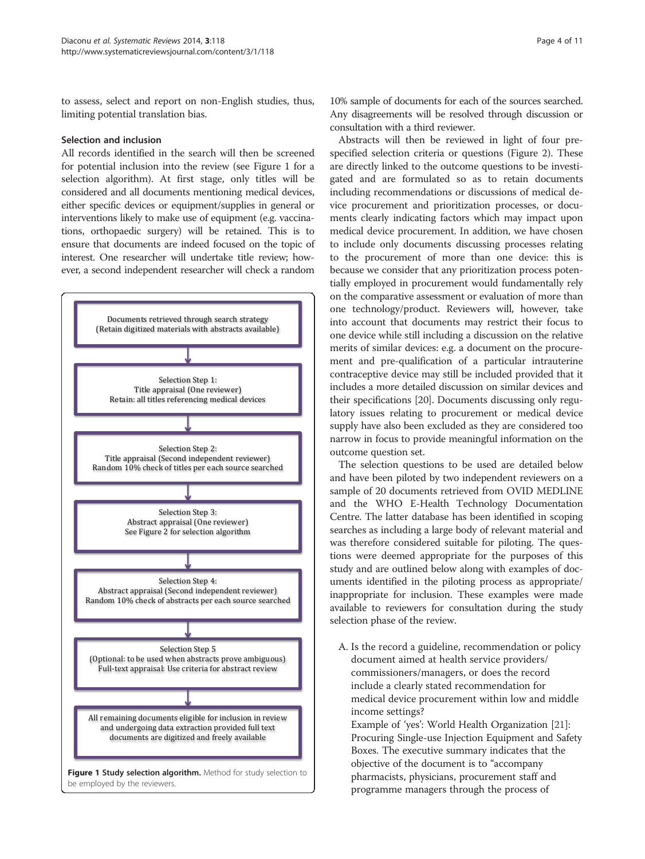to assess, select and report on non-English studies, thus, limiting potential translation bias.

#### Selection and inclusion

All records identified in the search will then be screened for potential inclusion into the review (see Figure 1 for a selection algorithm). At first stage, only titles will be considered and all documents mentioning medical devices, either specific devices or equipment/supplies in general or interventions likely to make use of equipment (e.g. vaccinations, orthopaedic surgery) will be retained. This is to ensure that documents are indeed focused on the topic of interest. One researcher will undertake title review; however, a second independent researcher will check a random



10% sample of documents for each of the sources searched. Any disagreements will be resolved through discussion or consultation with a third reviewer.

Abstracts will then be reviewed in light of four prespecified selection criteria or questions (Figure [2\)](#page-4-0). These are directly linked to the outcome questions to be investigated and are formulated so as to retain documents including recommendations or discussions of medical device procurement and prioritization processes, or documents clearly indicating factors which may impact upon medical device procurement. In addition, we have chosen to include only documents discussing processes relating to the procurement of more than one device: this is because we consider that any prioritization process potentially employed in procurement would fundamentally rely on the comparative assessment or evaluation of more than one technology/product. Reviewers will, however, take into account that documents may restrict their focus to one device while still including a discussion on the relative merits of similar devices: e.g. a document on the procurement and pre-qualification of a particular intrauterine contraceptive device may still be included provided that it includes a more detailed discussion on similar devices and their specifications [\[20\]](#page-10-0). Documents discussing only regulatory issues relating to procurement or medical device supply have also been excluded as they are considered too narrow in focus to provide meaningful information on the outcome question set.

The selection questions to be used are detailed below and have been piloted by two independent reviewers on a sample of 20 documents retrieved from OVID MEDLINE and the WHO E-Health Technology Documentation Centre. The latter database has been identified in scoping searches as including a large body of relevant material and was therefore considered suitable for piloting. The questions were deemed appropriate for the purposes of this study and are outlined below along with examples of documents identified in the piloting process as appropriate/ inappropriate for inclusion. These examples were made available to reviewers for consultation during the study selection phase of the review.

A. Is the record a guideline, recommendation or policy document aimed at health service providers/ commissioners/managers, or does the record include a clearly stated recommendation for medical device procurement within low and middle income settings?

Example of 'yes': World Health Organization [\[21\]](#page-10-0): Procuring Single-use Injection Equipment and Safety Boxes. The executive summary indicates that the objective of the document is to "accompany pharmacists, physicians, procurement staff and programme managers through the process of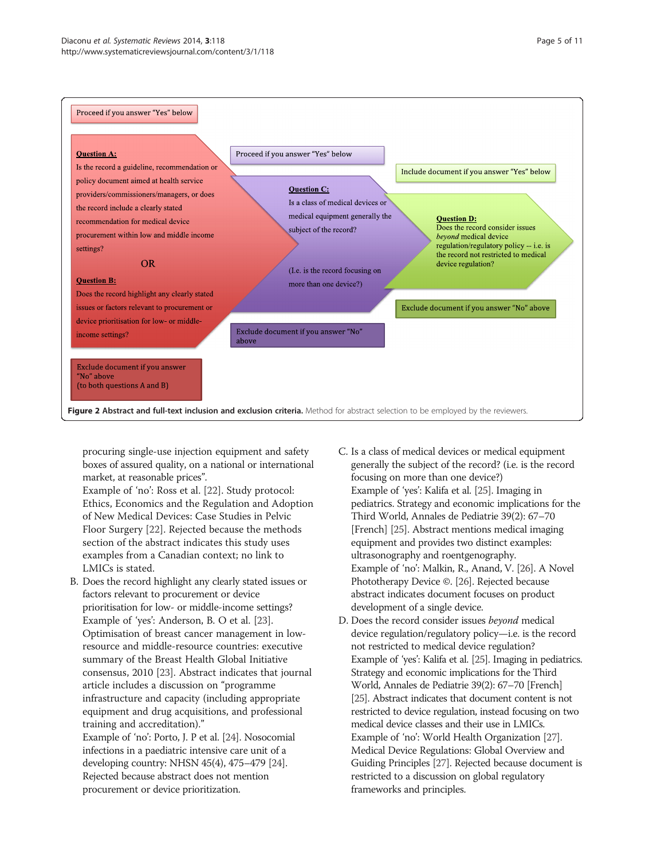<span id="page-4-0"></span>

procuring single-use injection equipment and safety boxes of assured quality, on a national or international market, at reasonable prices".

Example of 'no': Ross et al. [\[22](#page-10-0)]. Study protocol: Ethics, Economics and the Regulation and Adoption of New Medical Devices: Case Studies in Pelvic Floor Surgery [[22\]](#page-10-0). Rejected because the methods section of the abstract indicates this study uses examples from a Canadian context; no link to LMICs is stated.

B. Does the record highlight any clearly stated issues or factors relevant to procurement or device prioritisation for low- or middle-income settings? Example of 'yes': Anderson, B. O et al. [[23](#page-10-0)]. Optimisation of breast cancer management in lowresource and middle-resource countries: executive summary of the Breast Health Global Initiative consensus, 2010 [[23](#page-10-0)]. Abstract indicates that journal article includes a discussion on "programme infrastructure and capacity (including appropriate equipment and drug acquisitions, and professional training and accreditation)."

Example of 'no': Porto, J. P et al. [\[24\]](#page-10-0). Nosocomial infections in a paediatric intensive care unit of a developing country: NHSN 45(4), 475–479 [\[24](#page-10-0)]. Rejected because abstract does not mention procurement or device prioritization.

- C. Is a class of medical devices or medical equipment generally the subject of the record? (i.e. is the record focusing on more than one device?) Example of 'yes': Kalifa et al. [\[25\]](#page-10-0). Imaging in pediatrics. Strategy and economic implications for the Third World, Annales de Pediatrie 39(2): 67–70 [French] [[25](#page-10-0)]. Abstract mentions medical imaging equipment and provides two distinct examples: ultrasonography and roentgenography. Example of 'no': Malkin, R., Anand, V. [\[26\]](#page-10-0). A Novel Phototherapy Device ©. [[26\]](#page-10-0). Rejected because abstract indicates document focuses on product development of a single device.
- D. Does the record consider issues beyond medical device regulation/regulatory policy—i.e. is the record not restricted to medical device regulation? Example of 'yes': Kalifa et al. [[25\]](#page-10-0). Imaging in pediatrics. Strategy and economic implications for the Third World, Annales de Pediatrie 39(2): 67–70 [French] [\[25\]](#page-10-0). Abstract indicates that document content is not restricted to device regulation, instead focusing on two medical device classes and their use in LMICs. Example of 'no': World Health Organization [\[27](#page-10-0)]. Medical Device Regulations: Global Overview and Guiding Principles [[27](#page-10-0)]. Rejected because document is restricted to a discussion on global regulatory frameworks and principles.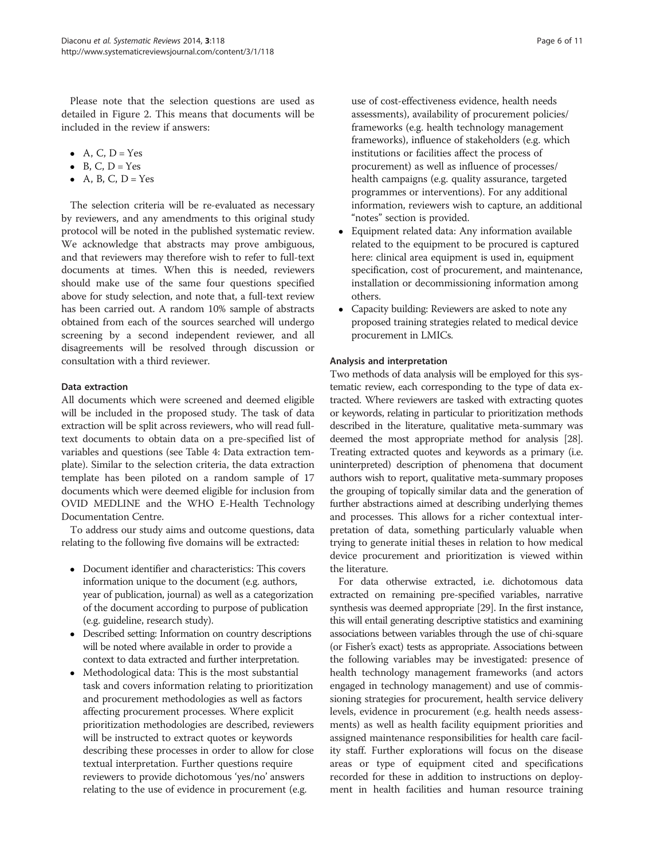Please note that the selection questions are used as detailed in Figure [2.](#page-4-0) This means that documents will be included in the review if answers:

- $A, C, D = Yes$
- $\bullet$  B, C, D = Yes
- $A, B, C, D = Yes$

The selection criteria will be re-evaluated as necessary by reviewers, and any amendments to this original study protocol will be noted in the published systematic review. We acknowledge that abstracts may prove ambiguous, and that reviewers may therefore wish to refer to full-text documents at times. When this is needed, reviewers should make use of the same four questions specified above for study selection, and note that, a full-text review has been carried out. A random 10% sample of abstracts obtained from each of the sources searched will undergo screening by a second independent reviewer, and all disagreements will be resolved through discussion or consultation with a third reviewer.

# Data extraction

All documents which were screened and deemed eligible will be included in the proposed study. The task of data extraction will be split across reviewers, who will read fulltext documents to obtain data on a pre-specified list of variables and questions (see Table [4](#page-6-0): Data extraction template). Similar to the selection criteria, the data extraction template has been piloted on a random sample of 17 documents which were deemed eligible for inclusion from OVID MEDLINE and the WHO E-Health Technology Documentation Centre.

To address our study aims and outcome questions, data relating to the following five domains will be extracted:

- Document identifier and characteristics: This covers information unique to the document (e.g. authors, year of publication, journal) as well as a categorization of the document according to purpose of publication (e.g. guideline, research study).
- Described setting: Information on country descriptions will be noted where available in order to provide a context to data extracted and further interpretation.
- Methodological data: This is the most substantial task and covers information relating to prioritization and procurement methodologies as well as factors affecting procurement processes. Where explicit prioritization methodologies are described, reviewers will be instructed to extract quotes or keywords describing these processes in order to allow for close textual interpretation. Further questions require reviewers to provide dichotomous 'yes/no' answers relating to the use of evidence in procurement (e.g.

use of cost-effectiveness evidence, health needs assessments), availability of procurement policies/ frameworks (e.g. health technology management frameworks), influence of stakeholders (e.g. which institutions or facilities affect the process of procurement) as well as influence of processes/ health campaigns (e.g. quality assurance, targeted programmes or interventions). For any additional information, reviewers wish to capture, an additional "notes" section is provided.

- Equipment related data: Any information available related to the equipment to be procured is captured here: clinical area equipment is used in, equipment specification, cost of procurement, and maintenance, installation or decommissioning information among others.
- Capacity building: Reviewers are asked to note any proposed training strategies related to medical device procurement in LMICs.

# Analysis and interpretation

Two methods of data analysis will be employed for this systematic review, each corresponding to the type of data extracted. Where reviewers are tasked with extracting quotes or keywords, relating in particular to prioritization methods described in the literature, qualitative meta-summary was deemed the most appropriate method for analysis [\[28](#page-10-0)]. Treating extracted quotes and keywords as a primary (i.e. uninterpreted) description of phenomena that document authors wish to report, qualitative meta-summary proposes the grouping of topically similar data and the generation of further abstractions aimed at describing underlying themes and processes. This allows for a richer contextual interpretation of data, something particularly valuable when trying to generate initial theses in relation to how medical device procurement and prioritization is viewed within the literature.

For data otherwise extracted, i.e. dichotomous data extracted on remaining pre-specified variables, narrative synthesis was deemed appropriate [[29](#page-10-0)]. In the first instance, this will entail generating descriptive statistics and examining associations between variables through the use of chi-square (or Fisher's exact) tests as appropriate. Associations between the following variables may be investigated: presence of health technology management frameworks (and actors engaged in technology management) and use of commissioning strategies for procurement, health service delivery levels, evidence in procurement (e.g. health needs assessments) as well as health facility equipment priorities and assigned maintenance responsibilities for health care facility staff. Further explorations will focus on the disease areas or type of equipment cited and specifications recorded for these in addition to instructions on deployment in health facilities and human resource training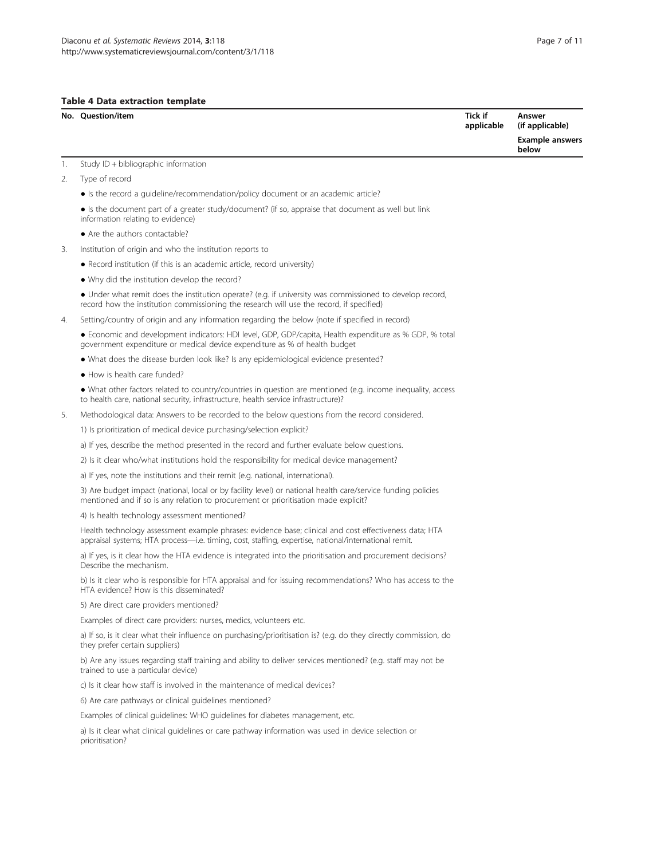# <span id="page-6-0"></span>Table 4 Data extraction template

|    | No. Question/item                                                                                                                                                                                              | Tick if<br>applicable | Answer<br>(if applicable)       |
|----|----------------------------------------------------------------------------------------------------------------------------------------------------------------------------------------------------------------|-----------------------|---------------------------------|
|    |                                                                                                                                                                                                                |                       | <b>Example answers</b><br>below |
| 1. | Study $ID + bibliographic information$                                                                                                                                                                         |                       |                                 |
| 2. | Type of record                                                                                                                                                                                                 |                       |                                 |
|    | • Is the record a quideline/recommendation/policy document or an academic article?                                                                                                                             |                       |                                 |
|    | • Is the document part of a greater study/document? (if so, appraise that document as well but link<br>information relating to evidence)                                                                       |                       |                                 |
|    | • Are the authors contactable?                                                                                                                                                                                 |                       |                                 |
| 3. | Institution of origin and who the institution reports to                                                                                                                                                       |                       |                                 |
|    | • Record institution (if this is an academic article, record university)                                                                                                                                       |                       |                                 |
|    | • Why did the institution develop the record?                                                                                                                                                                  |                       |                                 |
|    | • Under what remit does the institution operate? (e.g. if university was commissioned to develop record,<br>record how the institution commissioning the research will use the record, if specified)           |                       |                                 |
| 4. | Setting/country of origin and any information regarding the below (note if specified in record)                                                                                                                |                       |                                 |
|    | • Economic and development indicators: HDI level, GDP, GDP/capita, Health expenditure as % GDP, % total<br>government expenditure or medical device expenditure as % of health budget                          |                       |                                 |
|    | • What does the disease burden look like? Is any epidemiological evidence presented?                                                                                                                           |                       |                                 |
|    | • How is health care funded?                                                                                                                                                                                   |                       |                                 |
|    | • What other factors related to country/countries in question are mentioned (e.g. income inequality, access<br>to health care, national security, infrastructure, health service infrastructure)?              |                       |                                 |
| 5. | Methodological data: Answers to be recorded to the below questions from the record considered.                                                                                                                 |                       |                                 |
|    | 1) Is prioritization of medical device purchasing/selection explicit?                                                                                                                                          |                       |                                 |
|    | a) If yes, describe the method presented in the record and further evaluate below questions.                                                                                                                   |                       |                                 |
|    | 2) Is it clear who/what institutions hold the responsibility for medical device management?                                                                                                                    |                       |                                 |
|    | a) If yes, note the institutions and their remit (e.g. national, international).                                                                                                                               |                       |                                 |
|    | 3) Are budget impact (national, local or by facility level) or national health care/service funding policies<br>mentioned and if so is any relation to procurement or prioritisation made explicit?            |                       |                                 |
|    | 4) Is health technology assessment mentioned?                                                                                                                                                                  |                       |                                 |
|    | Health technology assessment example phrases: evidence base; clinical and cost effectiveness data; HTA<br>appraisal systems; HTA process-i.e. timing, cost, staffing, expertise, national/international remit. |                       |                                 |
|    | a) If yes, is it clear how the HTA evidence is integrated into the prioritisation and procurement decisions?<br>Describe the mechanism.                                                                        |                       |                                 |
|    | b) Is it clear who is responsible for HTA appraisal and for issuing recommendations? Who has access to the<br>HTA evidence? How is this disseminated?                                                          |                       |                                 |
|    | 5) Are direct care providers mentioned?                                                                                                                                                                        |                       |                                 |
|    | Examples of direct care providers: nurses, medics, volunteers etc.                                                                                                                                             |                       |                                 |
|    | a) If so, is it clear what their influence on purchasing/prioritisation is? (e.g. do they directly commission, do<br>they prefer certain suppliers)                                                            |                       |                                 |
|    | b) Are any issues regarding staff training and ability to deliver services mentioned? (e.g. staff may not be<br>trained to use a particular device)                                                            |                       |                                 |
|    | c) Is it clear how staff is involved in the maintenance of medical devices?                                                                                                                                    |                       |                                 |
|    | 6) Are care pathways or clinical guidelines mentioned?                                                                                                                                                         |                       |                                 |
|    | Examples of clinical quidelines: WHO quidelines for diabetes management, etc.                                                                                                                                  |                       |                                 |

a) Is it clear what clinical guidelines or care pathway information was used in device selection or prioritisation?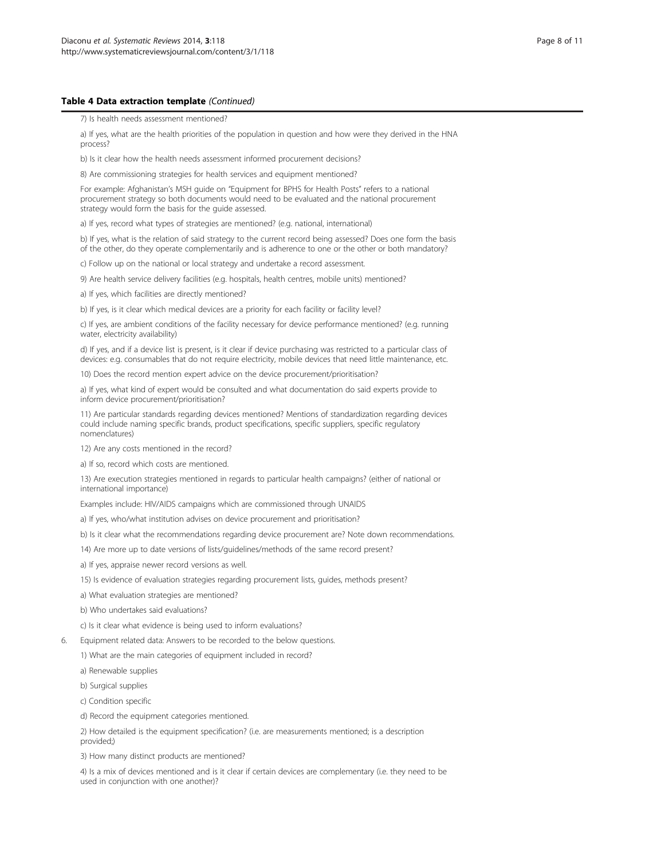### Table 4 Data extraction template (Continued)

7) Is health needs assessment mentioned?

a) If yes, what are the health priorities of the population in question and how were they derived in the HNA process?

b) Is it clear how the health needs assessment informed procurement decisions?

8) Are commissioning strategies for health services and equipment mentioned?

For example: Afghanistan's MSH guide on "Equipment for BPHS for Health Posts" refers to a national procurement strategy so both documents would need to be evaluated and the national procurement strategy would form the basis for the guide assessed.

a) If yes, record what types of strategies are mentioned? (e.g. national, international)

b) If yes, what is the relation of said strategy to the current record being assessed? Does one form the basis of the other, do they operate complementarily and is adherence to one or the other or both mandatory?

c) Follow up on the national or local strategy and undertake a record assessment.

9) Are health service delivery facilities (e.g. hospitals, health centres, mobile units) mentioned?

a) If yes, which facilities are directly mentioned?

b) If yes, is it clear which medical devices are a priority for each facility or facility level?

c) If yes, are ambient conditions of the facility necessary for device performance mentioned? (e.g. running water, electricity availability)

d) If yes, and if a device list is present, is it clear if device purchasing was restricted to a particular class of devices: e.g. consumables that do not require electricity, mobile devices that need little maintenance, etc.

10) Does the record mention expert advice on the device procurement/prioritisation?

a) If yes, what kind of expert would be consulted and what documentation do said experts provide to inform device procurement/prioritisation?

11) Are particular standards regarding devices mentioned? Mentions of standardization regarding devices could include naming specific brands, product specifications, specific suppliers, specific regulatory nomenclatures)

12) Are any costs mentioned in the record?

a) If so, record which costs are mentioned.

13) Are execution strategies mentioned in regards to particular health campaigns? (either of national or international importance)

Examples include: HIV/AIDS campaigns which are commissioned through UNAIDS

a) If yes, who/what institution advises on device procurement and prioritisation?

b) Is it clear what the recommendations regarding device procurement are? Note down recommendations.

14) Are more up to date versions of lists/guidelines/methods of the same record present?

a) If yes, appraise newer record versions as well.

15) Is evidence of evaluation strategies regarding procurement lists, guides, methods present?

a) What evaluation strategies are mentioned?

b) Who undertakes said evaluations?

c) Is it clear what evidence is being used to inform evaluations?

6. Equipment related data: Answers to be recorded to the below questions.

1) What are the main categories of equipment included in record?

a) Renewable supplies

b) Surgical supplies

c) Condition specific

d) Record the equipment categories mentioned.

2) How detailed is the equipment specification? (i.e. are measurements mentioned; is a description provided;)

3) How many distinct products are mentioned?

4) Is a mix of devices mentioned and is it clear if certain devices are complementary (i.e. they need to be used in conjunction with one another)?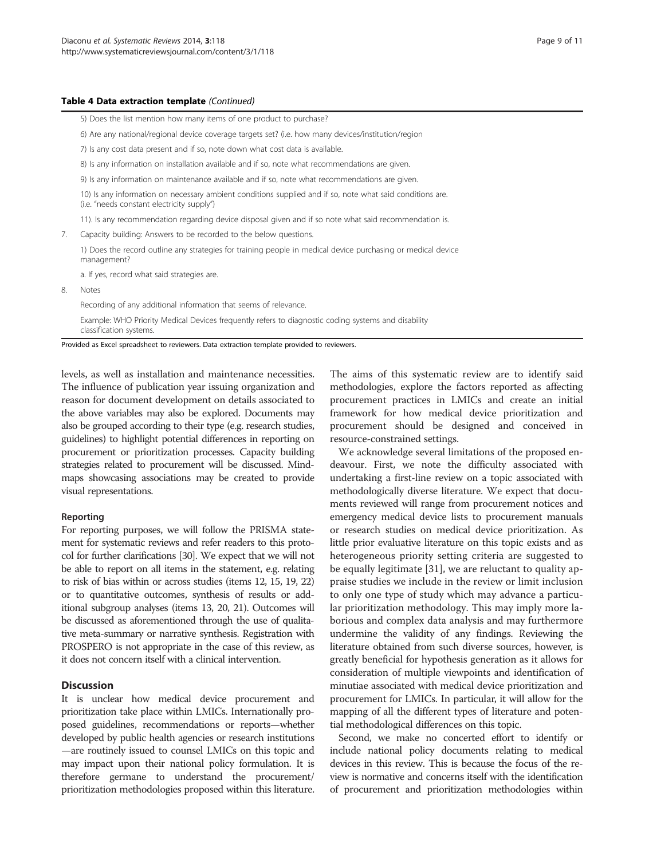#### Table 4 Data extraction template (Continued)

5) Does the list mention how many items of one product to purchase?

- 6) Are any national/regional device coverage targets set? (i.e. how many devices/institution/region
- 7) Is any cost data present and if so, note down what cost data is available.
- 8) Is any information on installation available and if so, note what recommendations are given.

9) Is any information on maintenance available and if so, note what recommendations are given.

10) Is any information on necessary ambient conditions supplied and if so, note what said conditions are. (i.e. "needs constant electricity supply")

11). Is any recommendation regarding device disposal given and if so note what said recommendation is.

7. Capacity building: Answers to be recorded to the below questions.

1) Does the record outline any strategies for training people in medical device purchasing or medical device management?

a. If yes, record what said strategies are.

8. Notes

Recording of any additional information that seems of relevance.

Example: WHO Priority Medical Devices frequently refers to diagnostic coding systems and disability classification systems.

Provided as Excel spreadsheet to reviewers. Data extraction template provided to reviewers.

levels, as well as installation and maintenance necessities. The influence of publication year issuing organization and reason for document development on details associated to the above variables may also be explored. Documents may also be grouped according to their type (e.g. research studies, guidelines) to highlight potential differences in reporting on procurement or prioritization processes. Capacity building strategies related to procurement will be discussed. Mindmaps showcasing associations may be created to provide visual representations.

#### Reporting

For reporting purposes, we will follow the PRISMA statement for systematic reviews and refer readers to this protocol for further clarifications [\[30](#page-10-0)]. We expect that we will not be able to report on all items in the statement, e.g. relating to risk of bias within or across studies (items 12, 15, 19, 22) or to quantitative outcomes, synthesis of results or additional subgroup analyses (items 13, 20, 21). Outcomes will be discussed as aforementioned through the use of qualitative meta-summary or narrative synthesis. Registration with PROSPERO is not appropriate in the case of this review, as it does not concern itself with a clinical intervention.

## **Discussion**

It is unclear how medical device procurement and prioritization take place within LMICs. Internationally proposed guidelines, recommendations or reports—whether developed by public health agencies or research institutions —are routinely issued to counsel LMICs on this topic and may impact upon their national policy formulation. It is therefore germane to understand the procurement/ prioritization methodologies proposed within this literature.

The aims of this systematic review are to identify said methodologies, explore the factors reported as affecting procurement practices in LMICs and create an initial framework for how medical device prioritization and procurement should be designed and conceived in resource-constrained settings.

We acknowledge several limitations of the proposed endeavour. First, we note the difficulty associated with undertaking a first-line review on a topic associated with methodologically diverse literature. We expect that documents reviewed will range from procurement notices and emergency medical device lists to procurement manuals or research studies on medical device prioritization. As little prior evaluative literature on this topic exists and as heterogeneous priority setting criteria are suggested to be equally legitimate [[31\]](#page-10-0), we are reluctant to quality appraise studies we include in the review or limit inclusion to only one type of study which may advance a particular prioritization methodology. This may imply more laborious and complex data analysis and may furthermore undermine the validity of any findings. Reviewing the literature obtained from such diverse sources, however, is greatly beneficial for hypothesis generation as it allows for consideration of multiple viewpoints and identification of minutiae associated with medical device prioritization and procurement for LMICs. In particular, it will allow for the mapping of all the different types of literature and potential methodological differences on this topic.

Second, we make no concerted effort to identify or include national policy documents relating to medical devices in this review. This is because the focus of the review is normative and concerns itself with the identification of procurement and prioritization methodologies within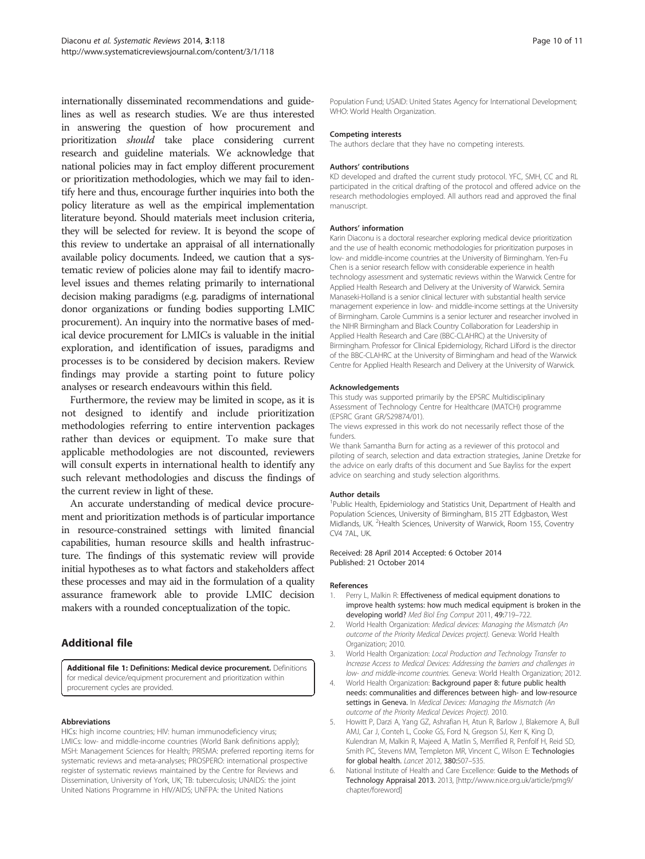<span id="page-9-0"></span>internationally disseminated recommendations and guidelines as well as research studies. We are thus interested in answering the question of how procurement and prioritization should take place considering current research and guideline materials. We acknowledge that national policies may in fact employ different procurement or prioritization methodologies, which we may fail to identify here and thus, encourage further inquiries into both the policy literature as well as the empirical implementation literature beyond. Should materials meet inclusion criteria, they will be selected for review. It is beyond the scope of this review to undertake an appraisal of all internationally available policy documents. Indeed, we caution that a systematic review of policies alone may fail to identify macrolevel issues and themes relating primarily to international decision making paradigms (e.g. paradigms of international donor organizations or funding bodies supporting LMIC procurement). An inquiry into the normative bases of medical device procurement for LMICs is valuable in the initial exploration, and identification of issues, paradigms and processes is to be considered by decision makers. Review findings may provide a starting point to future policy analyses or research endeavours within this field.

Furthermore, the review may be limited in scope, as it is not designed to identify and include prioritization methodologies referring to entire intervention packages rather than devices or equipment. To make sure that applicable methodologies are not discounted, reviewers will consult experts in international health to identify any such relevant methodologies and discuss the findings of the current review in light of these.

An accurate understanding of medical device procurement and prioritization methods is of particular importance in resource-constrained settings with limited financial capabilities, human resource skills and health infrastructure. The findings of this systematic review will provide initial hypotheses as to what factors and stakeholders affect these processes and may aid in the formulation of a quality assurance framework able to provide LMIC decision makers with a rounded conceptualization of the topic.

# Additional file

[Additional file 1:](http://www.biomedcentral.com/content/supplementary/2046-4053-3-118-S1.pdf) Definitions: Medical device procurement. Definitions for medical device/equipment procurement and prioritization within procurement cycles are provided.

#### Abbreviations

HICs: high income countries; HIV: human immunodeficiency virus; LMICs: low- and middle-income countries (World Bank definitions apply); MSH: Management Sciences for Health; PRISMA: preferred reporting items for systematic reviews and meta-analyses; PROSPERO: international prospective register of systematic reviews maintained by the Centre for Reviews and Dissemination, University of York, UK; TB: tuberculosis; UNAIDS: the joint United Nations Programme in HIV/AIDS; UNFPA: the United Nations

Population Fund; USAID: United States Agency for International Development; WHO: World Health Organization.

#### Competing interests

The authors declare that they have no competing interests.

#### Authors' contributions

KD developed and drafted the current study protocol. YFC, SMH, CC and RL participated in the critical drafting of the protocol and offered advice on the research methodologies employed. All authors read and approved the final manuscript.

#### Authors' information

Karin Diaconu is a doctoral researcher exploring medical device prioritization and the use of health economic methodologies for prioritization purposes in low- and middle-income countries at the University of Birmingham. Yen-Fu Chen is a senior research fellow with considerable experience in health technology assessment and systematic reviews within the Warwick Centre for Applied Health Research and Delivery at the University of Warwick. Semira Manaseki-Holland is a senior clinical lecturer with substantial health service management experience in low- and middle-income settings at the University of Birmingham. Carole Cummins is a senior lecturer and researcher involved in the NIHR Birmingham and Black Country Collaboration for Leadership in Applied Health Research and Care (BBC-CLAHRC) at the University of Birmingham. Professor for Clinical Epidemiology, Richard Lilford is the director of the BBC-CLAHRC at the University of Birmingham and head of the Warwick Centre for Applied Health Research and Delivery at the University of Warwick.

#### Acknowledgements

This study was supported primarily by the EPSRC Multidisciplinary Assessment of Technology Centre for Healthcare (MATCH) programme (EPSRC Grant GR/S29874/01).

The views expressed in this work do not necessarily reflect those of the funders.

We thank Samantha Burn for acting as a reviewer of this protocol and piloting of search, selection and data extraction strategies, Janine Dretzke for the advice on early drafts of this document and Sue Bayliss for the expert advice on searching and study selection algorithms.

#### Author details

<sup>1</sup>Public Health, Epidemiology and Statistics Unit, Department of Health and Population Sciences, University of Birmingham, B15 2TT Edgbaston, West Midlands, UK. <sup>2</sup> Health Sciences, University of Warwick, Room 155, Coventry CV4 7AL, UK.

Received: 28 April 2014 Accepted: 6 October 2014 Published: 21 October 2014

#### References

- 1. Perry L, Malkin R: Effectiveness of medical equipment donations to improve health systems: how much medical equipment is broken in the developing world? Med Biol Eng Comput 2011, 49:719–722.
- 2. World Health Organization: Medical devices: Managing the Mismatch (An outcome of the Priority Medical Devices project). Geneva: World Health Organization; 2010.
- 3. World Health Organization: Local Production and Technology Transfer to Increase Access to Medical Devices: Addressing the barriers and challenges in low- and middle-income countries. Geneva: World Health Organization; 2012.
- 4. World Health Organization: Background paper 8: future public health needs: communalities and differences between high- and low-resource settings in Geneva. In Medical Devices: Managing the Mismatch (An outcome of the Priority Medical Devices Project). 2010.
- 5. Howitt P, Darzi A, Yang GZ, Ashrafian H, Atun R, Barlow J, Blakemore A, Bull AMJ, Car J, Conteh L, Cooke GS, Ford N, Gregson SJ, Kerr K, King D, Kulendran M, Malkin R, Majeed A, Matlin S, Merrified R, Penfolf H, Reid SD, Smith PC, Stevens MM, Templeton MR, Vincent C, Wilson E: Technologies for global health. Lancet 2012, 380:507–535.
- 6. National Institute of Health and Care Excellence: Guide to the Methods of Technology Appraisal 2013. 2013, [\[http://www.nice.org.uk/article/pmg9/](http://www.nice.org.uk/article/pmg9/chapter/foreword) [chapter/foreword\]](http://www.nice.org.uk/article/pmg9/chapter/foreword)